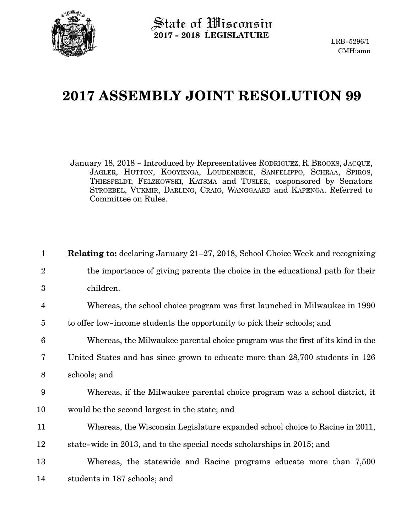

State of Wisconsin **2017 - 2018 LEGISLATURE**

## **2017 ASSEMBLY JOINT RESOLUTION 99**

January 18, 2018 - Introduced by Representatives RODRIGUEZ, R. BROOKS, JACQUE, JAGLER, HUTTON, KOOYENGA, LOUDENBECK, SANFELIPPO, SCHRAA, SPIROS, THIESFELDT, FELZKOWSKI, KATSMA and TUSLER, cosponsored by Senators STROEBEL, VUKMIR, DARLING, CRAIG, WANGGAARD and KAPENGA. Referred to Committee on Rules.

| $\mathbf{1}$    | Relating to: declaring January 21-27, 2018, School Choice Week and recognizing  |
|-----------------|---------------------------------------------------------------------------------|
| $\overline{2}$  | the importance of giving parents the choice in the educational path for their   |
| 3               | children.                                                                       |
| $\overline{4}$  | Whereas, the school choice program was first launched in Milwaukee in 1990      |
| $\overline{5}$  | to offer low-income students the opportunity to pick their schools; and         |
| $6\phantom{.}6$ | Whereas, the Milwaukee parental choice program was the first of its kind in the |
| 7               | United States and has since grown to educate more than 28,700 students in 126   |
| 8               | schools; and                                                                    |
| 9               | Whereas, if the Milwaukee parental choice program was a school district, it     |
| 10              | would be the second largest in the state; and                                   |
| 11              | Whereas, the Wisconsin Legislature expanded school choice to Racine in 2011,    |
| 12              | state-wide in 2013, and to the special needs scholarships in 2015; and          |
| 13              | Whereas, the statewide and Racine programs educate more than 7,500              |
| 14              | students in 187 schools; and                                                    |